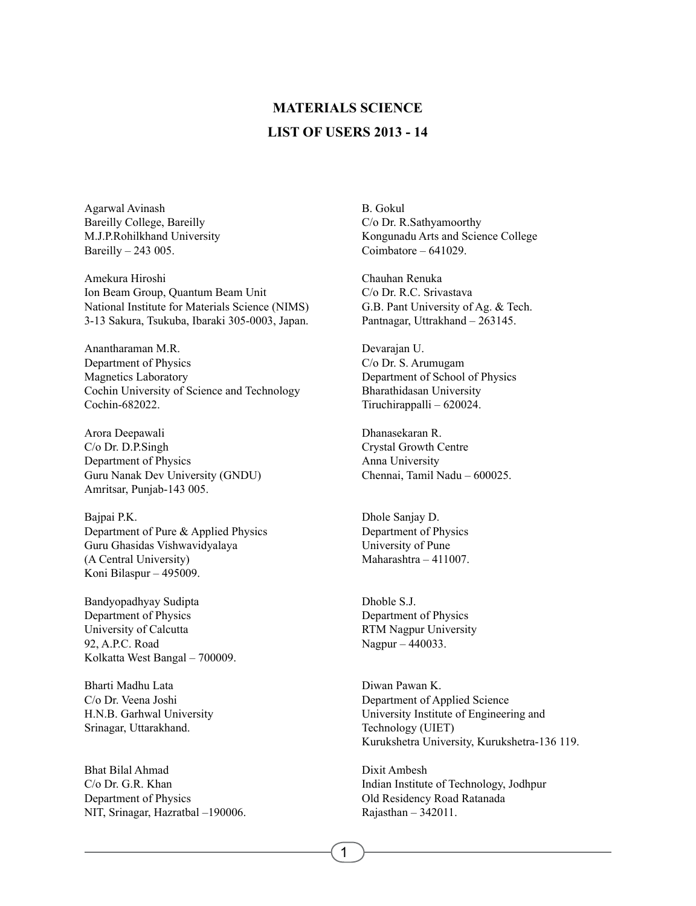## **LIST OF USERS 2013 - 14 MATERIALS SCIENCE**

Agarwal Avinash Bareilly College, Bareilly M.J.P.Rohilkhand University Bareilly – 243 005.

Amekura Hiroshi Ion Beam Group, Quantum Beam Unit National Institute for Materials Science (NIMS) 3-13 Sakura, Tsukuba, Ibaraki 305-0003, Japan.

Anantharaman M.R. Department of Physics Magnetics Laboratory Cochin University of Science and Technology Cochin-682022.

Arora Deepawali C/o Dr. D.P.Singh Department of Physics Guru Nanak Dev University (GNDU) Amritsar, Punjab-143 005.

Bajpai P.K. Department of Pure & Applied Physics Guru Ghasidas Vishwavidyalaya (A Central University) Koni Bilaspur – 495009.

Bandyopadhyay Sudipta Department of Physics University of Calcutta 92, A.P.C. Road Kolkatta West Bangal – 700009.

Bharti Madhu Lata C/o Dr. Veena Joshi H.N.B. Garhwal University Srinagar, Uttarakhand.

Bhat Bilal Ahmad C/o Dr. G.R. Khan Department of Physics NIT, Srinagar, Hazratbal –190006. B. Gokul C/o Dr. R.Sathyamoorthy Kongunadu Arts and Science College Coimbatore – 641029.

Chauhan Renuka C/o Dr. R.C. Srivastava G.B. Pant University of Ag. & Tech. Pantnagar, Uttrakhand – 263145.

Devarajan U. C/o Dr. S. Arumugam Department of School of Physics Bharathidasan University Tiruchirappalli – 620024.

Dhanasekaran R. Crystal Growth Centre Anna University Chennai, Tamil Nadu – 600025.

Dhole Sanjay D. Department of Physics University of Pune Maharashtra – 411007.

Dhoble S.J. Department of Physics RTM Nagpur University Nagpur – 440033.

Diwan Pawan K. Department of Applied Science University Institute of Engineering and Technology (UIET) Kurukshetra University, Kurukshetra-136 119.

Dixit Ambesh Indian Institute of Technology, Jodhpur Old Residency Road Ratanada Rajasthan – 342011.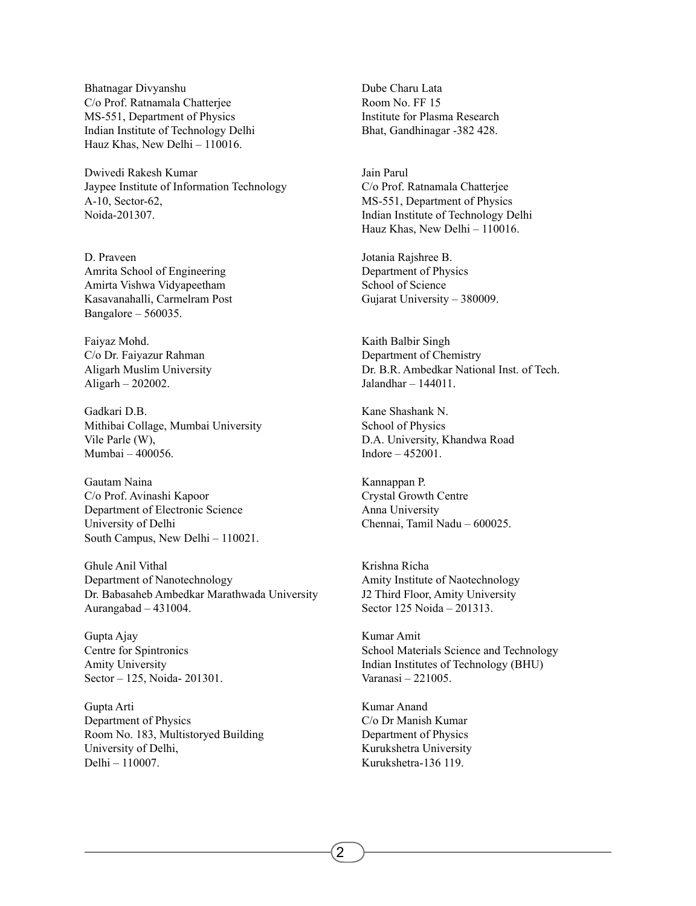Bhatnagar Divyanshu C/o Prof. Ratnamala Chatterjee MS-551, Department of Physics Indian Institute of Technology Delhi Hauz Khas, New Delhi – 110016.

Dwivedi Rakesh Kumar Jaypee Institute of Information Technology A-10, Sector-62, Noida-201307.

D. Praveen Amrita School of Engineering Amirta Vishwa Vidyapeetham Kasavanahalli, Carmelram Post Bangalore – 560035.

Faiyaz Mohd. C/o Dr. Faiyazur Rahman Aligarh Muslim University Aligarh – 202002.

Gadkari D.B. Mithibai Collage, Mumbai University Vile Parle (W), Mumbai – 400056.

Gautam Naina C/o Prof. Avinashi Kapoor Department of Electronic Science University of Delhi South Campus, New Delhi – 110021.

Ghule Anil Vithal Department of Nanotechnology Dr. Babasaheb Ambedkar Marathwada University Aurangabad – 431004.

Gupta Ajay Centre for Spintronics Amity University Sector – 125, Noida- 201301.

Gupta Arti Department of Physics Room No. 183, Multistoryed Building University of Delhi, Delhi – 110007.

Dube Charu Lata Room No. FF 15 Institute for Plasma Research Bhat, Gandhinagar -382 428.

Jain Parul C/o Prof. Ratnamala Chatterjee MS-551, Department of Physics Indian Institute of Technology Delhi Hauz Khas, New Delhi – 110016.

Jotania Rajshree B. Department of Physics School of Science Gujarat University – 380009.

Kaith Balbir Singh Department of Chemistry Dr. B.R. Ambedkar National Inst. of Tech. Jalandhar – 144011.

Kane Shashank N. School of Physics D.A. University, Khandwa Road Indore – 452001.

Kannappan P. Crystal Growth Centre Anna University Chennai, Tamil Nadu – 600025.

Krishna Richa Amity Institute of Naotechnology J2 Third Floor, Amity University Sector 125 Noida – 201313.

Kumar Amit School Materials Science and Technology Indian Institutes of Technology (BHU) Varanasi – 221005.

Kumar Anand C/o Dr Manish Kumar Department of Physics Kurukshetra University Kurukshetra-136 119.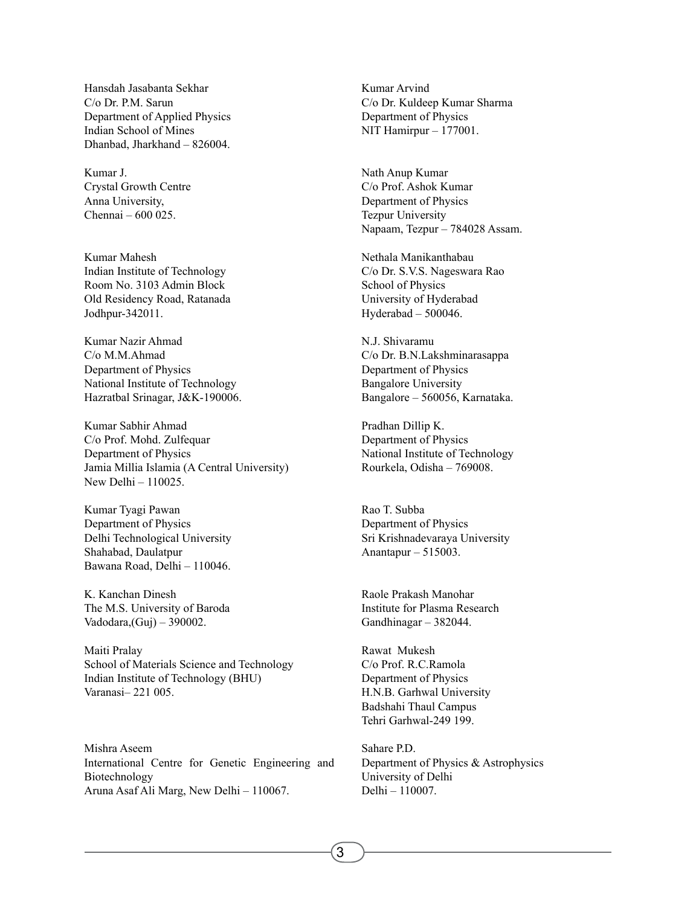Hansdah Jasabanta Sekhar C/o Dr. P.M. Sarun Department of Applied Physics Indian School of Mines Dhanbad, Jharkhand – 826004.

Kumar J. Crystal Growth Centre Anna University, Chennai – 600 025.

Kumar Mahesh Indian Institute of Technology Room No. 3103 Admin Block Old Residency Road, Ratanada Jodhpur-342011.

Kumar Nazir Ahmad C/o M.M.Ahmad Department of Physics National Institute of Technology Hazratbal Srinagar, J&K-190006.

Kumar Sabhir Ahmad C/o Prof. Mohd. Zulfequar Department of Physics Jamia Millia Islamia (A Central University) New Delhi – 110025.

Kumar Tyagi Pawan Department of Physics Delhi Technological University Shahabad, Daulatpur Bawana Road, Delhi – 110046.

K. Kanchan Dinesh The M.S. University of Baroda Vadodara,(Guj) – 390002.

Maiti Pralay School of Materials Science and Technology Indian Institute of Technology (BHU) Varanasi– 221 005.

Mishra Aseem International Centre for Genetic Engineering and Biotechnology Aruna Asaf Ali Marg, New Delhi – 110067.

Kumar Arvind C/o Dr. Kuldeep Kumar Sharma Department of Physics NIT Hamirpur – 177001.

Nath Anup Kumar C/o Prof. Ashok Kumar Department of Physics Tezpur University Napaam, Tezpur – 784028 Assam.

Nethala Manikanthabau C/o Dr. S.V.S. Nageswara Rao School of Physics University of Hyderabad Hyderabad – 500046.

N.J. Shivaramu C/o Dr. B.N.Lakshminarasappa Department of Physics Bangalore University Bangalore – 560056, Karnataka.

Pradhan Dillip K. Department of Physics National Institute of Technology Rourkela, Odisha – 769008.

Rao T. Subba Department of Physics Sri Krishnadevaraya University Anantapur – 515003.

Raole Prakash Manohar Institute for Plasma Research Gandhinagar – 382044.

Rawat Mukesh C/o Prof. R.C.Ramola Department of Physics H.N.B. Garhwal University Badshahi Thaul Campus Tehri Garhwal-249 199.

Sahare P.D. Department of Physics & Astrophysics University of Delhi Delhi – 110007.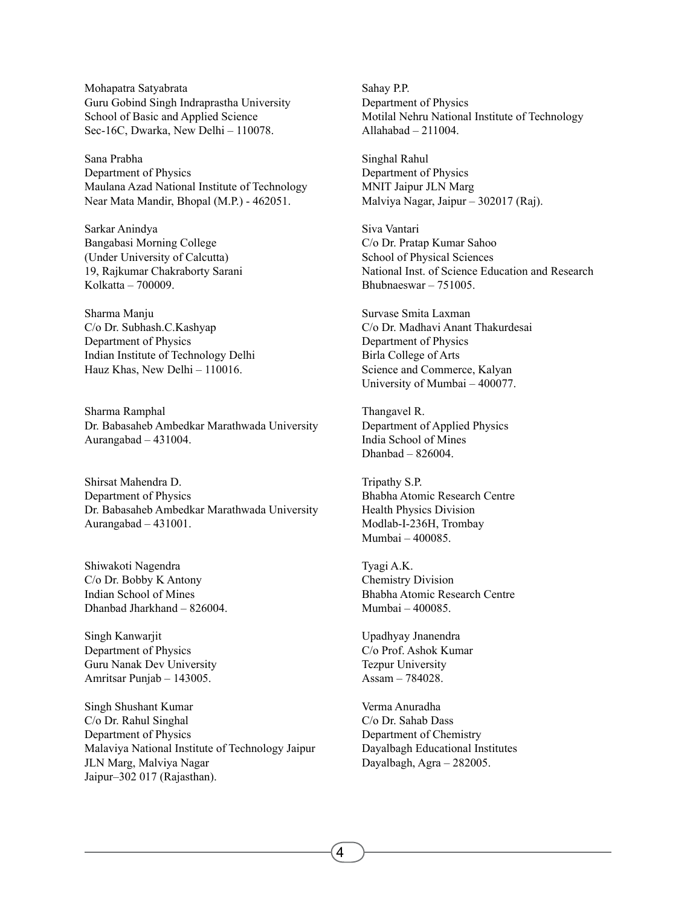Mohapatra Satyabrata Guru Gobind Singh Indraprastha University School of Basic and Applied Science Sec-16C, Dwarka, New Delhi – 110078.

Sana Prabha Department of Physics Maulana Azad National Institute of Technology Near Mata Mandir, Bhopal (M.P.) - 462051.

Sarkar Anindya Bangabasi Morning College (Under University of Calcutta) 19, Rajkumar Chakraborty Sarani Kolkatta – 700009.

Sharma Manju C/o Dr. Subhash.C.Kashyap Department of Physics Indian Institute of Technology Delhi Hauz Khas, New Delhi – 110016.

Sharma Ramphal Dr. Babasaheb Ambedkar Marathwada University Aurangabad – 431004.

Shirsat Mahendra D. Department of Physics Dr. Babasaheb Ambedkar Marathwada University Aurangabad – 431001.

Shiwakoti Nagendra C/o Dr. Bobby K Antony Indian School of Mines Dhanbad Jharkhand – 826004.

Singh Kanwarjit Department of Physics Guru Nanak Dev University Amritsar Punjab – 143005.

Singh Shushant Kumar C/o Dr. Rahul Singhal Department of Physics Malaviya National Institute of Technology Jaipur JLN Marg, Malviya Nagar Jaipur–302 017 (Rajasthan).

Sahay P.P. Department of Physics Motilal Nehru National Institute of Technology Allahabad – 211004.

Singhal Rahul Department of Physics MNIT Jaipur JLN Marg Malviya Nagar, Jaipur – 302017 (Raj).

Siva Vantari C/o Dr. Pratap Kumar Sahoo School of Physical Sciences National Inst. of Science Education and Research Bhubnaeswar – 751005.

Survase Smita Laxman C/o Dr. Madhavi Anant Thakurdesai Department of Physics Birla College of Arts Science and Commerce, Kalyan University of Mumbai – 400077.

Thangavel R. Department of Applied Physics India School of Mines Dhanbad – 826004.

Tripathy S.P. Bhabha Atomic Research Centre Health Physics Division Modlab-I-236H, Trombay Mumbai – 400085.

Tyagi A.K. Chemistry Division Bhabha Atomic Research Centre Mumbai – 400085.

Upadhyay Jnanendra C/o Prof. Ashok Kumar Tezpur University Assam – 784028.

Verma Anuradha C/o Dr. Sahab Dass Department of Chemistry Dayalbagh Educational Institutes Dayalbagh, Agra – 282005.